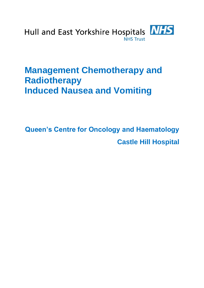

# **Management Chemotherapy and Radiotherapy Induced Nausea and Vomiting**

**Queen's Centre for Oncology and Haematology Castle Hill Hospital**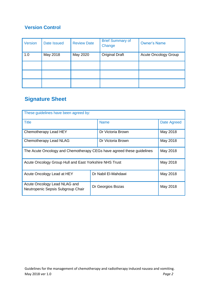### **Version Control**

| <b>Version</b> | Date Issued | <b>Review Date</b> | <b>Brief Summary of</b><br>Change | <b>Owner's Name</b>         |
|----------------|-------------|--------------------|-----------------------------------|-----------------------------|
| 1.0            | May 2018    | May 2020           | <b>Original Draft</b>             | <b>Acute Oncology Group</b> |
|                |             |                    |                                   |                             |
|                |             |                    |                                   |                             |
|                |             |                    |                                   |                             |

# **Signature Sheet**

| These guidelines have been agreed by:                                 |                     |                    |  |
|-----------------------------------------------------------------------|---------------------|--------------------|--|
| <b>Title</b>                                                          | <b>Name</b>         | <b>Date Agreed</b> |  |
| Chemotherapy Lead HEY                                                 | Dr Victoria Brown   | May 2018           |  |
| Chemotherapy Lead NLAG                                                | Dr Victoria Brown   | May 2018           |  |
| The Acute Oncology and Chemotherapy CEGs have agreed these guidelines | May 2018            |                    |  |
| Acute Oncology Group Hull and East Yorkshire NHS Trust                |                     | May 2018           |  |
| Acute Oncology Lead at HEY                                            | Dr Nabil El-Mahdawi | May 2018           |  |
| Acute Oncology Lead NLAG and<br>Neutropenic Sepsis Subgroup Chair     | Dr Georgios Bozas   | May 2018           |  |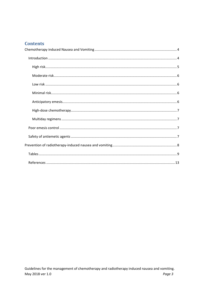#### **Contents**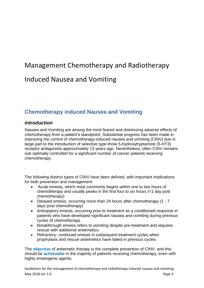# Management Chemotherapy and Radiotherapy

# Induced Nausea and Vomiting

## <span id="page-3-0"></span>**Chemotherapy induced Nausea and Vomiting**

#### <span id="page-3-1"></span>*Introduction*

Nausea and Vomiting are among the most feared and distressing adverse effects of chemotherapy from a patient's standpoint. Substantial progress has been made in improving the control of chemotherapy-induced nausea and vomiting (CINV) due in large part to the introduction of selective type-three 5-hydroxytryptamine (5-HT3) receptor antagonists approximately 13 years ago. Nevertheless, often CINV remains sub optimally controlled for a significant number of cancer patients receiving chemotherapy.

.

The following distinct types of CINV have been defined, with important implications for both prevention and management:

- Acute emesis, which most commonly begins within one to two hours of chemotherapy and usually peaks in the first four to six hours (<1 day post chemotherapy)
- Delayed emesis, occurring more than 24 hours after chemotherapy (1 7 days post chemotherapy)
- Anticipatory emesis, occurring prior to treatment as a conditioned response in patients who have developed significant nausea and vomiting during previous cycles of chemotherapy.
- Breakthrough emesis refers to vomiting despite pre-treatment and requires rescue with additional antiemetics.
- Refractory- continued emesis in subsequent treatment cycles when prophylaxis and rescue antiemetics have failed in previous cycles.

The **objective** of antiemetic therapy is the complete prevention of CINV, and this should be **achievable** in the majority of patients receiving chemotherapy, even with highly emetogenic agents.

Guidelines for the management of chemotherapy and radiotherapy induced nausea and vomiting. May 2018 ver 1.0 *Page 4*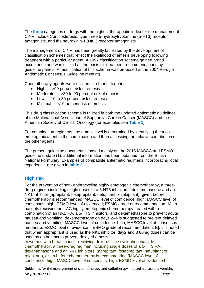The **three** categories of drugs with the highest therapeutic index for the management CINV include Corticosteroids, type three 5-hydroxytryptamine (5-HT3) receptor antagonists, and the neurokinin-1 (NK1) receptor antagonists.

The management of CINV has been greatly facilitated by the development of classification schemes that reflect the likelihood of emesis developing following treatment with a particular agent. A 1997 classification scheme gained broad acceptance and was utilized as the basis for treatment recommendations by guideline panels. A modification of this schema was proposed at the 2004 Perugia Antiemetic Consensus Guideline meeting.

Chemotherapy agents were divided into four categories

- $\bullet$  High  $\leftarrow$  >90 percent risk of emesis
- Moderate  $-$  >30 to 90 percent risk of emesis
- Low 10 to 30 percent risk of emesis
- $\bullet$  Minimal <10 percent risk of emesis

This drug classification schema is utilized in both the updated antiemetic guidelines of the Multinational Association of Supportive Care in Cancer (MASCC) and the American Society of Clinical Oncology (for examples see **Table 1**).

For combination regimens, the emetic level is determined by identifying the most emetogenic agent in the combination and then assessing the relative contribution of the other agents.

The present guideline document is based mainly on the 2016 MASCC and ESMO guideline update (1); additional information has been obtained from the British National Formulary. Examples of compatible antiemetic regimens incorporating local experience are given in **table 2.**

#### <span id="page-4-0"></span>**High risk**

For the prevention of non- anthracycline highly emetogenic chemotherapy, a threedrug regimen including single doses of a 5-HT3 inhibitors , dexamethasone and an NK1 inhibitor (aprepitant, fosaprepitant, netupitant or rolapitant), given before chemotherapy is recommended [MASCC level of confidence: high; MASCC level of consensus: high; ESMO level of evidence I; ESMO grade of recommendation: A]. In patients receiving non-AC highly emetogenic chemotherapy treated with a combination of an NK1 RA, a 5-HT3 inhibitors and dexamethasone to prevent acute nausea and vomiting, dexamethasone on days 2–4 is suggested to prevent delayed nausea and vomiting [MASCC level of confidence: high; MASCC level of consensus: moderate; ESMO level of evidence I; ESMO grade of recommendation: B]. it is noted that when apprepitant is used as the NK1 inhibitor, day2 and 3 80mg doses can be used as an adjunct to prevent delayed emesis.

In women with breast cancer receiving doxorubicin / cyclophosphamide chemotherapy, a three-drug regimen including single doses of a 5-HT3 RA, dexamethasone and an NK1 inhibitors (aprepitant, fosaprepitant, netupitant or rolapitant), given before chemotherapy is recommended [MASCC level of confidence: high; MASCC level of consensus: high; ESMO level of evidence I;

Guidelines for the management of chemotherapy and radiotherapy induced nausea and vomiting. May 2018 ver 1.0 *Page 5*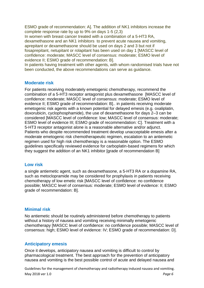ESMO grade of recommendation: A]. The addition of NK1 inhibitors increase the complete response rate by up to 9% on days 1-5 (2,3)

In women with breast cancer treated with a combination of a 5-HT3 RA, dexamethasone and an NK1 inhibitors to prevent acute nausea and vomiting, aprepitant or dexamethasone should be used on days 2 and 3 but not if fosaprepitant, netupitant or rolapitant has been used on day 1 [MASCC level of confidence: moderate; MASCC level of consensus: moderate; ESMO level of evidence II; ESMO grade of recommendation: B].

In patients having treatment with other agents, with whom randomised trials have not been conducted, the above recommendations can serve as guidance.

#### <span id="page-5-0"></span>**Moderate risk**

For patients receiving moderately emetogenic chemotherapy, recommend the combination of a 5-HT3 receptor antagonist plus dexamethasone [MASCC level of confidence: moderate; MASCC level of consensus: moderate; ESMO level of evidence II; ESMO grade of recommendation: B].. in patients receiving moderate emetogenic risk agents with a known potential for delayed emesis (e.g. oxaliplatin, doxorubicin, cyclophosphamide), the use of dexamethasone for days 2–3 can be considered [MASCC level of confidence: low; MASCC level of consensus: moderate; ESMO level of evidence III; ESMO grade of recommendation: C]. Treatment with a 5-HT3 receptor antagonist alone is a reasonable alternative and/or adjunct. Patients who despite recommended treatment develop unacceptable emesis after a moderate emetogenic risk chemotherapeutic regimen, escalation to an antiemetic regimen used for high risk chemotherapy is a reasonable option. The ESMO guidelines specifically reviewed evidence for carboplatin-based regimens for which they suggest the addition of an NK1 inhibitor [grade of recommendation B]

#### <span id="page-5-1"></span>**Low risk**

a single antiemetic agent, such as dexamethasone, a 5-HT3 RA or a dopamine RA, such as metoclopramide may be considered for prophylaxis in patients receiving chemotherapy of low emetic risk [MASCC level of confidence: no confidence possible; MASCC level of consensus: moderate; ESMO level of evidence: II; ESMO grade of recommendation: B].

#### <span id="page-5-2"></span>**Minimal risk**

No antiemetic should be routinely administered before chemotherapy to patients without a history of nausea and vomiting receiving minimally emetogenic chemotherapy [MASCC level of confidence: no confidence possible; MASCC level of consensus: high; ESMO level of evidence: IV; ESMO grade of recommendation: D].

#### <span id="page-5-3"></span>**Anticipatory emesis**

Once it develops, anticipatory nausea and vomiting is difficult to control by pharmacological treatment. The best approach for the prevention of anticipatory nausea and vomiting is the best possible control of acute and delayed nausea and

Guidelines for the management of chemotherapy and radiotherapy induced nausea and vomiting. May 2018 ver 1.0 *Page 6*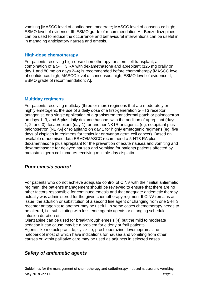vomiting [MASCC level of confidence: moderate; MASCC level of consensus: high; ESMO level of evidence: III, ESMO grade of recommendation:A]. Benzodiazepines can be used to reduce the occurrence and behavioural interventions can be useful in in managing anticipatory nausea and emesis.

#### <span id="page-6-0"></span>**High-dose chemotherapy**

For patients receiving high-dose chemotherapy for stem cell transplant, a combination of a 5-HT3 RA with dexamethasone and aprepitant (125 mg orally on day 1 and 80 mg on days 2–4) is recommended before chemotherapy [MASCC level of confidence: high; MASCC level of consensus: high; ESMO level of evidence: I; ESMO grade of recommendation: A].

#### <span id="page-6-1"></span>**Multiday regimens**

For patients receiving multiday (three or more) regimens that are moderately or highly emetogenic the use of a daily dose of a first-generation 5-HT3 receptor antagonist, or a single application of a granisetron transdermal patch or palonosetron on days 1, 3, and 5 plus daily dexamethasone, with the addition of aprepitant (days 1, 2, and 3), fosaprepitant (day 1), or another NK1R antagonist (eg, netupitant plus palonosetron [NEPA] or rolapitant) on day 1 for highly emetogenic regimens (eg, five days of cisplatin in regimens for testicular or ovarian germ cell cancer). Based on available randomised data ESMO/MASCC recommend a 5-HT3 RA plus dexamethasone plus aprepitant for the prevention of acute nausea and vomiting and dexamethasone for delayed nausea and vomiting for patients patients affected by metastatic germ cell tumours receiving multiple-day cisplatin.

#### <span id="page-6-2"></span>*Poor emesis control*

For patients who do not achieve adequate control of CINV with their initial antiemetic regimen, the patient's management should be reviewed to ensure that there are no other factors responsible for continued emesis and that adequate antiemetic therapy actually was administered for the given chemotherapy regimen. If CINV remains an issue, the addition or substitution of a second line agent or changing from one 5-HT3 receptor antagonist to another may be useful. In some cases chemotherapy needs to be altered, i.e. substituting with less emetogenic agents or changing schedule, infusion duration etc.

Olanzapine can be used for breakthrough emesis (4) but the mild to moderate sedation it can cause may be a problem for elderly or frail patients.

Agents like metoclopramide, cyclizine, prochloperazine, levomepromazine, haloperidol most of which have indications for nausea and vomiting from other causes or within palliative care may be used as adjuncts in selected cases..

#### <span id="page-6-3"></span>*Safety of antiemetic agents*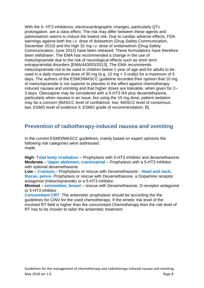With the 5- HT3 inhibitorss, electrocardiographic changes, particularly QTc prolongation, are a class effect. The risk may differ between these agents and palonosetron seems to induce the lowest risk. Due to cardiac adverse effects, FDA warnings against both the i.v. dose of dolasetron (Drug Safety Communication, December 2010) and the high 32 mg i.v. dose of ondansetron (Drug Safety Communication, June 2012) have been released. These formulations have therefore been withdrawn. The EMA has recommended a change in the use of metoclopramide due to the risk of neurological effects such as short term extrapyramidal disorders [EMA/443003/2013]. The EMA recommends metoclopramide not to be used in children below 1 year of age and for adults to be used in a daily maximum dose of 30 mg (e.g. 10 mg × 3 orally) for a maximum of 5 days. The authors of the ESMO/MASCC guideline recorded their opinion that 10 mg of metoclopramide is not superior to placebo in the effect against chemotherapy induced nausea and vomiting and that higher doses are tolerable, when given for 2– 3 days. Olanzapine may be considered with a 5-HT3 RA plus dexamethasone, particularly when nausea is an issue, but using the 10 mg dose, patient sedation may be a concern [MASCC level of confidence: low; MASCC level of consensus: low; ESMO level of evidence II; ESMO grade of recommendation: B].

### <span id="page-7-0"></span>**Prevention of radiotherapy-induced nausea and vomiting**

In the current ESMO/MASCC guidelines, mainly based on expert opinions the following risk categories were addressed: made.

**High**- **Total body irradiation** – Prophylaxis with 5-HT3 inhibitor and dexamethasone **Moderate** – **Upper abdomen, craniospinal** – Prophylaxis with a 5-HT3 inhibitor with optional dexamethasone

**Low** – **Cranium,**– Prophylaxis or rescue with Dexamethasone.- **Head and neck, thorax, pelvis**- Prophylaxis or rescue with Dexamethasone, a Dopamine receptor antagonist (metoclopramide) or a 5-HT3 inhibitor.

**Minimal** – **extremities, breast** – rescue with Dexamethasone, D-receptor antagonist or 5-HT3 inhibitor.

**Concomitant CRT**: The antiemetic prophylaxis should be according the the guidelines for CINV for the used chemotherapy. If the emetic risk level of the involved RT field is higher than the concomitant Chemotherapy then the risk level of RT has to be chosen to tailor the antiemetic treatment.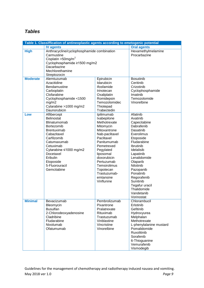### <span id="page-8-0"></span>*Tables*

| Table 1. Classiffication of antineoplastic agents according to emetogenic potential |                                                                                                                                                                                                                                          |                                                                                                                                                                                                                                                                    |                                                                                                                                                                                                                                                                                                               |
|-------------------------------------------------------------------------------------|------------------------------------------------------------------------------------------------------------------------------------------------------------------------------------------------------------------------------------------|--------------------------------------------------------------------------------------------------------------------------------------------------------------------------------------------------------------------------------------------------------------------|---------------------------------------------------------------------------------------------------------------------------------------------------------------------------------------------------------------------------------------------------------------------------------------------------------------|
|                                                                                     | <b>IV agents</b>                                                                                                                                                                                                                         |                                                                                                                                                                                                                                                                    | <b>Oral agents</b>                                                                                                                                                                                                                                                                                            |
| <b>High</b>                                                                         | Anthracycline/cyclophosphamide combination<br>Carmustine<br>Cisplatin > 50mg/m <sup>2</sup><br>Cyclophosphamide ≥1500 mg/m2<br>Dacarbazine<br>Mechlorethamine<br>Streptozocin                                                            |                                                                                                                                                                                                                                                                    | Hexamethylmelamine<br>Procarbazine                                                                                                                                                                                                                                                                            |
| <b>Moderate</b>                                                                     | Alemtuzumab<br>Azacitidine<br>Bendamustine<br>Carboplatin<br>Clofarabine<br>Cyclophosphamide <1500<br>mg/m2<br>Cytarabine >1000 mg/m2<br>Daunorubicin                                                                                    | Epirubicin<br>Idarubicin<br>Ifosfamide<br>Irinotecan<br>Oxaliplatin<br>Romidepsin<br>Temozolomidec<br>Thiotepad<br>Trabectedin                                                                                                                                     | <b>Bosutinib</b><br>Ceritinib<br>Crizotinib<br>Cyclophosphamide<br>Imatinib<br>Temozolomide<br>Vinorelbine                                                                                                                                                                                                    |
| Low                                                                                 | Aflibercept<br>Belinostat<br>Blinatumomab<br><b>Bortezomib</b><br>Brentuximab<br>Cabazitaxel<br>Carfilzomib<br>Catumaxumab<br>Cetuximab<br>Cytarabine ≤1000 mg/m2<br>Docetaxel<br>Eribulin<br>Etoposide<br>5-Fluorouracil<br>Gemcitabine | Ipilimumab<br>Ixabepilone<br>Methotrexate<br>Mitomycin<br>Mitoxantrone<br>Nab-paclitaxel<br>Paclitaxel<br>Panitumumab<br>Pemetrexed<br>Pegylated<br>liposomal<br>doxorubicin<br>Pertuzumab<br>Temsirolimus<br>Topotecan<br>Trastuzumab-<br>emtansine<br>Vinflunine | Afatinib<br>Axatinib<br>Capecitabine<br>Dabrafenib<br>Dasatinib<br>Everolimus<br>Etoposide<br>Fludarabine<br>Ibrutinib<br>Idelalisib<br>Lapatinib<br>Lenalidomide<br>Olaparib<br>Nilotinib<br>Pazopanib<br>Ponatinib<br>Regorafenib<br>Sunitinib<br>Tegafur uracil<br>Thalidomide<br>Vandetanib<br>Vorinostat |
| <b>Minimal</b>                                                                      | Bevacizumab<br>Bleomycin<br><b>Busulfan</b><br>2-Chlorodeoxyadenosine<br>Cladribine<br>Fludarabine<br>Nivolumab<br>Ofatumumab                                                                                                            | Pembrolizumab<br>Pixantrone<br>Pralatrexate<br>Rituximab<br>Trastuzumab<br>Vinblastine<br>Vincristine<br>Vinorelbine                                                                                                                                               | Chlorambucil<br>Erlotinib<br>Gefitinib<br>Hydroxyurea<br>Melphalan<br>Methotrexate<br>L-phenylalanine mustard<br>Pomalidomide<br>Ruxolitinib<br>Sorafenib<br>6-Thioguanine<br>Vemurafenib<br>Vismodegib                                                                                                       |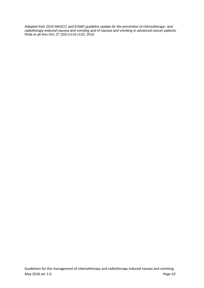Adapted from *2016 MASCC and ESMO guideline update for the prevention of chemotherapy- and radiotherapy-induced nausea and vomiting and of nausea and vomiting in advanced cancer patients*. Roila et all Ann Onc 27 (S5):V119-v133, 2016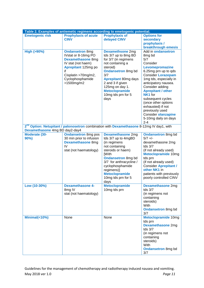| Table 2. Examples of antiemetic regimens according to emetogenic potential. |                                                                                                                                                                                       |                                                                                                                                                                                                                                                                          |                                                                                                                                                                                                                                                                                                                                                                                                            |
|-----------------------------------------------------------------------------|---------------------------------------------------------------------------------------------------------------------------------------------------------------------------------------|--------------------------------------------------------------------------------------------------------------------------------------------------------------------------------------------------------------------------------------------------------------------------|------------------------------------------------------------------------------------------------------------------------------------------------------------------------------------------------------------------------------------------------------------------------------------------------------------------------------------------------------------------------------------------------------------|
| <b>Emetogenic risk</b>                                                      | <b>Prophylaxis of acute</b><br><b>CINV</b>                                                                                                                                            | <b>Prophylaxis of</b><br>delayed CINV                                                                                                                                                                                                                                    | <b>Options for</b><br>secondary<br>prophylaxis /<br>breakthrough emesis                                                                                                                                                                                                                                                                                                                                    |
| <b>High (&gt;90%)</b>                                                       | <b>Ondansetron 8mg</b><br>IVstat or 8-16mg PO<br><b>Dexamethasone 8mg</b><br>IV stat (not haem)<br>Aprepitant 125mg po<br>if<br>Cisplatin >70mg/m2,<br>Cyclophosphamide<br>>1500mg/m2 | <b>Dexamethsone 2mg</b><br>tds 3/7 up to 8mg BD<br>for 3/7 (in regimens<br>not containing a<br>steroid)<br><b>Ondansetron 8mg bd</b><br>3/7<br><b>Aprepitant 80mg days</b><br>2 and 3 if given<br>125mg on day 1.<br><b>Metoclopramide</b><br>10mg tds prn for 5<br>days | Add in ondansetron<br>8 <sub>mg</sub> bd<br>5/7<br>Consider<br>Levomepromazine<br>6.25mg prn up to qds<br><b>Consider Lorazepam</b><br>1mg tds, especially in<br>anticipatory nausea.<br>Consider adding<br><b>Aprepitant / other</b><br>NK <sub>1</sub> for<br>subsequent cycles<br>(once other options<br>exhausted) if not<br>previously used<br>Consider olanzapine<br>5-10mg daily on days<br>$2 - 4$ |
| Dexamethasone 4mg BD day2-day4                                              | 2 <sup>nd</sup> Option: Netupitant / palonosetron combination with Dexamethasone 8-12mg IV day1, with                                                                                 |                                                                                                                                                                                                                                                                          |                                                                                                                                                                                                                                                                                                                                                                                                            |
| Moderate (30-<br>$90\%$                                                     | <b>Ondansetron 8mg pos</b><br>30 min prior to infusion<br><b>Dexamethasone 8mg</b><br>IV<br>stat (not haematology)                                                                    | <b>Dexamethasone 2mg</b><br>tds 3/7 up to 4mgBD<br>(in regimens<br>not containing<br>steroids or haem)<br><b>[With</b><br><b>Ondansetron 8mg bd</b><br>3/7 for anthracycline /<br>cyclophosphamide<br>regimens)]<br><b>Metoclopramide</b><br>10mg tds prn for 5<br>days  | <b>Ondansetron 8mg bd</b><br>$5/7$ +/-<br>dexamethasone 2mg<br>tds $3/7$<br>(if not already used)<br><b>Metoclopramide 10mg</b><br>tds prn<br>(if not already used)<br><b>Consider Aprepitant /</b><br>other NK1 in<br>patients with previously<br>poorly controlled CINV                                                                                                                                  |
| Low (10-30%)                                                                | <b>Dexamethasone 4-</b><br>8mg IV<br>stat (not haematology)                                                                                                                           | <b>Metoclopramide</b><br>10mg tds prn                                                                                                                                                                                                                                    | <b>Dexamethasone 2mg</b><br>tds $3/7$<br>(in regimens not<br>containing<br>steroids)<br>With<br><b>Ondansetron 8mg bd</b><br>3/7                                                                                                                                                                                                                                                                           |
| Minimal(<10%)                                                               | None                                                                                                                                                                                  | None                                                                                                                                                                                                                                                                     | <b>Metoclopramide 10mg</b><br>tds prn<br><b>Dexamethasone 2mg</b><br>tds $3/7$<br>(in regimens not<br>containing<br>steroids)<br>With<br><b>Ondansetron 8mg bd</b><br>3/7                                                                                                                                                                                                                                  |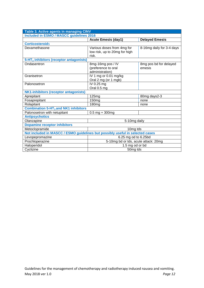| Table 3. Active agents in managing CINV                                       |                                      |                           |  |  |
|-------------------------------------------------------------------------------|--------------------------------------|---------------------------|--|--|
| <b>Included in ESMO / MASCC guidelines 2016</b>                               |                                      |                           |  |  |
|                                                                               | <b>Acute Emesis (day1)</b>           | <b>Delayed Emesis</b>     |  |  |
| <b>Corticosteroids</b>                                                        |                                      |                           |  |  |
| Dexamethasone                                                                 | Various doses from 4mg for           | 8-16mg daily for 3-4 days |  |  |
|                                                                               | low risk, up to 20mg for high        |                           |  |  |
|                                                                               | risk.                                |                           |  |  |
| 5-HT <sub>3</sub> inhibitors (receptor antagonists)                           |                                      |                           |  |  |
| Ondasentron                                                                   | 8mg-16mg pos / IV                    | 8mg pos bd for delayed    |  |  |
|                                                                               | (preference to oral                  | emesis                    |  |  |
|                                                                               | administration)                      |                           |  |  |
| Granisetron                                                                   | IV 1 mg or 0.01 mg/kg                |                           |  |  |
|                                                                               | Oral 2 mg (or 1 mgb)                 |                           |  |  |
| Palonosetron                                                                  | IV 0.25 mg                           |                           |  |  |
|                                                                               | Oral 0.5 mg                          |                           |  |  |
| <b>NK1-inhibitors (receptor antagonists)</b>                                  |                                      |                           |  |  |
| Aprepitant                                                                    | 125mg                                | 80mg days2-3              |  |  |
| Fosaprepitant                                                                 | 150 <sub>mg</sub>                    | none                      |  |  |
| Rolapitant                                                                    | 180mg                                | none                      |  |  |
| <b>Combination 5-HT<sub>3</sub> and NK1 inhibitors</b>                        |                                      |                           |  |  |
| Palonosetron with netupitant                                                  | $0.5$ mg + 300mg                     |                           |  |  |
| <b>Antipsychotics</b>                                                         |                                      |                           |  |  |
| Olanzapine<br>5-10mg daily                                                    |                                      |                           |  |  |
| <b>Dopamine receptor inhibitors</b>                                           |                                      |                           |  |  |
| Metoclopramide<br>10 <sub>mg</sub> tds                                        |                                      |                           |  |  |
| Not included in MASCC / ESMO guidelines but possibly useful in selected cases |                                      |                           |  |  |
| Levopepromazine                                                               | 6.25 mg od to 6.25bd                 |                           |  |  |
| Prochloperazine                                                               | 5-10mg bd or tds, acute attack: 20mg |                           |  |  |
| Haloperidol                                                                   | 1.5 mg od or bd                      |                           |  |  |
| Cyclizine                                                                     | 50mg tds                             |                           |  |  |